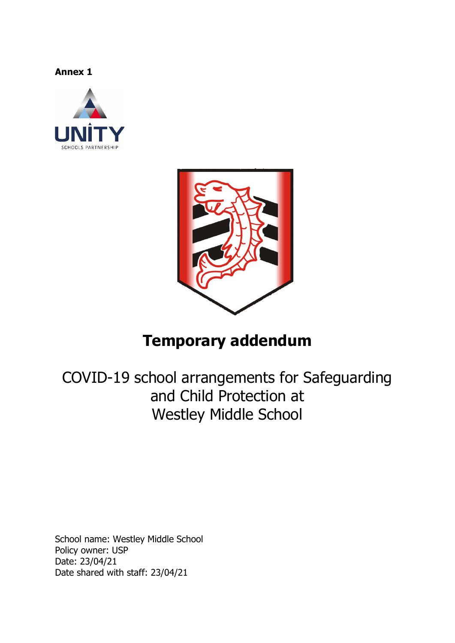**Annex 1** 





# **Temporary addendum**

COVID-19 school arrangements for Safeguarding and Child Protection at Westley Middle School

School name: Westley Middle School Policy owner: USP Date: 23/04/21 Date shared with staff: 23/04/21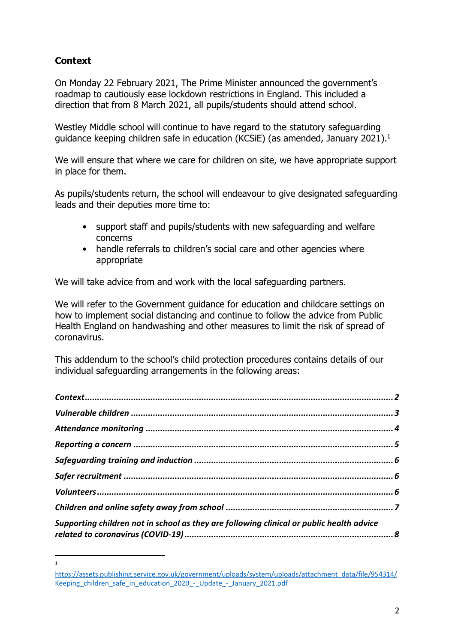# **Context**

1

On Monday 22 February 2021, The Prime Minister announced the government's roadmap to cautiously ease lockdown restrictions in England. This included a direction that from 8 March 2021, all pupils/students should attend school.

Westley Middle school will continue to have regard to the statutory safeguarding guidance keeping children safe in education (KCSiE) (as amended, January 2021).1

We will ensure that where we care for children on site, we have appropriate support in place for them.

As pupils/students return, the school will endeavour to give designated safeguarding leads and their deputies more time to:

- support staff and pupils/students with new safeguarding and welfare concerns
- handle referrals to children's social care and other agencies where appropriate

We will take advice from and work with the local safeguarding partners.

We will refer to the Government guidance for education and childcare settings on how to implement social distancing and continue to follow the advice from Public Health England on handwashing and other measures to limit the risk of spread of coronavirus.

This addendum to the school's child protection procedures contains details of our individual safeguarding arrangements in the following areas:

| Supporting children not in school as they are following clinical or public health advice |  |
|------------------------------------------------------------------------------------------|--|

https://assets.publishing.service.gov.uk/government/uploads/system/uploads/attachment\_data/file/954314/ Keeping children safe in education 2020 - Update - January 2021.pdf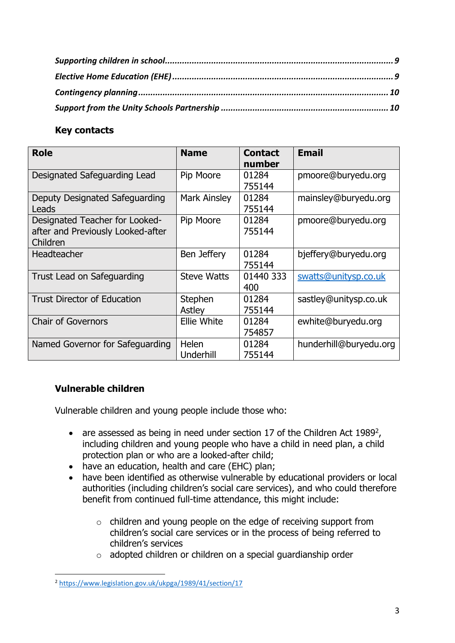## **Key contacts**

| <b>Role</b>                                                                     | <b>Name</b>         | <b>Contact</b><br>number | <b>Email</b>           |
|---------------------------------------------------------------------------------|---------------------|--------------------------|------------------------|
| Designated Safeguarding Lead                                                    | Pip Moore           | 01284<br>755144          | pmoore@buryedu.org     |
| Deputy Designated Safeguarding<br>Leads                                         | <b>Mark Ainsley</b> | 01284<br>755144          | mainsley@buryedu.org   |
| Designated Teacher for Looked-<br>after and Previously Looked-after<br>Children | Pip Moore           | 01284<br>755144          | pmoore@buryedu.org     |
| <b>Headteacher</b>                                                              | Ben Jeffery         | 01284<br>755144          | bjeffery@buryedu.org   |
| Trust Lead on Safeguarding                                                      | <b>Steve Watts</b>  | 01440 333<br>400         | swatts@unitysp.co.uk   |
| <b>Trust Director of Education</b>                                              | Stephen<br>Astley   | 01284<br>755144          | sastley@unitysp.co.uk  |
| <b>Chair of Governors</b>                                                       | <b>Ellie White</b>  | 01284<br>754857          | ewhite@buryedu.org     |
| Named Governor for Safeguarding                                                 | Helen<br>Underhill  | 01284<br>755144          | hunderhill@buryedu.org |

## **Vulnerable children**

Vulnerable children and young people include those who:

- are assessed as being in need under section 17 of the Children Act 1989<sup>2</sup>, including children and young people who have a child in need plan, a child protection plan or who are a looked-after child;
- have an education, health and care (EHC) plan;
- have been identified as otherwise vulnerable by educational providers or local authorities (including children's social care services), and who could therefore benefit from continued full-time attendance, this might include:
	- o children and young people on the edge of receiving support from children's social care services or in the process of being referred to children's services
	- o adopted children or children on a special guardianship order

<sup>2</sup> https://www.legislation.gov.uk/ukpga/1989/41/section/17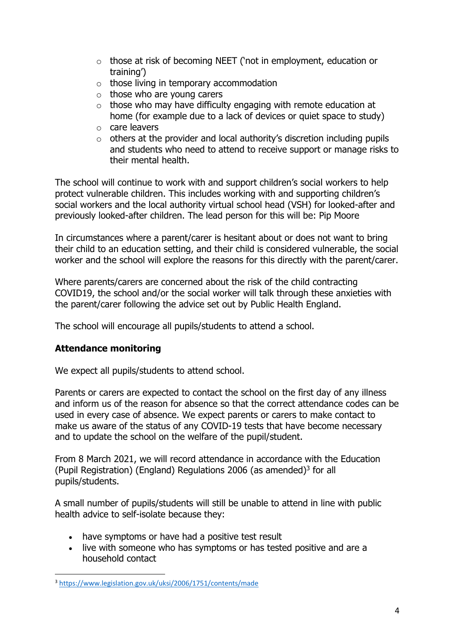- o those at risk of becoming NEET ('not in employment, education or training')
- $\circ$  those living in temporary accommodation
- $\circ$  those who are young carers
- $\circ$  those who may have difficulty engaging with remote education at home (for example due to a lack of devices or quiet space to study)
- o care leavers
- $\circ$  others at the provider and local authority's discretion including pupils and students who need to attend to receive support or manage risks to their mental health.

The school will continue to work with and support children's social workers to help protect vulnerable children. This includes working with and supporting children's social workers and the local authority virtual school head (VSH) for looked-after and previously looked-after children. The lead person for this will be: Pip Moore

In circumstances where a parent/carer is hesitant about or does not want to bring their child to an education setting, and their child is considered vulnerable, the social worker and the school will explore the reasons for this directly with the parent/carer.

Where parents/carers are concerned about the risk of the child contracting COVID19, the school and/or the social worker will talk through these anxieties with the parent/carer following the advice set out by Public Health England.

The school will encourage all pupils/students to attend a school.

## **Attendance monitoring**

We expect all pupils/students to attend school.

Parents or carers are expected to contact the school on the first day of any illness and inform us of the reason for absence so that the correct attendance codes can be used in every case of absence. We expect parents or carers to make contact to make us aware of the status of any COVID-19 tests that have become necessary and to update the school on the welfare of the pupil/student.

From 8 March 2021, we will record attendance in accordance with the Education (Pupil Registration) (England) Regulations 2006 (as amended)<sup>3</sup> for all pupils/students.

A small number of pupils/students will still be unable to attend in line with public health advice to self-isolate because they:

- have symptoms or have had a positive test result
- live with someone who has symptoms or has tested positive and are a household contact

<sup>3</sup> https://www.legislation.gov.uk/uksi/2006/1751/contents/made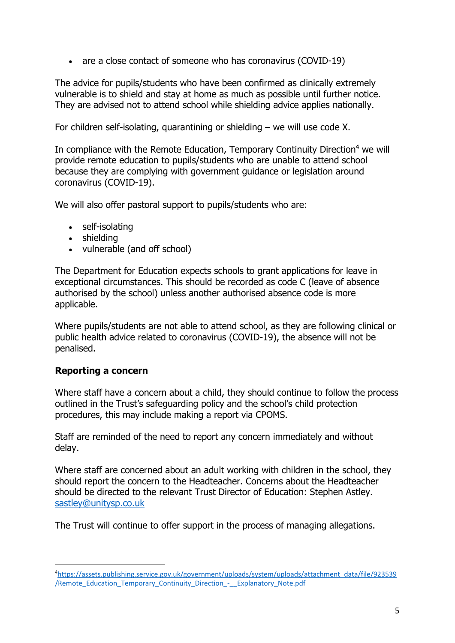• are a close contact of someone who has coronavirus (COVID-19)

The advice for pupils/students who have been confirmed as clinically extremely vulnerable is to shield and stay at home as much as possible until further notice. They are advised not to attend school while shielding advice applies nationally.

For children self-isolating, quarantining or shielding – we will use code X.

In compliance with the Remote Education, Temporary Continuity Direction<sup>4</sup> we will provide remote education to pupils/students who are unable to attend school because they are complying with government guidance or legislation around coronavirus (COVID-19).

We will also offer pastoral support to pupils/students who are:

- self-isolating
- shielding
- vulnerable (and off school)

The Department for Education expects schools to grant applications for leave in exceptional circumstances. This should be recorded as code C (leave of absence authorised by the school) unless another authorised absence code is more applicable.

Where pupils/students are not able to attend school, as they are following clinical or public health advice related to coronavirus (COVID-19), the absence will not be penalised.

## **Reporting a concern**

Where staff have a concern about a child, they should continue to follow the process outlined in the Trust's safeguarding policy and the school's child protection procedures, this may include making a report via CPOMS.

Staff are reminded of the need to report any concern immediately and without delay.

Where staff are concerned about an adult working with children in the school, they should report the concern to the Headteacher. Concerns about the Headteacher should be directed to the relevant Trust Director of Education: Stephen Astley. sastley@unitysp.co.uk

The Trust will continue to offer support in the process of managing allegations.

<sup>4</sup> https://assets.publishing.service.gov.uk/government/uploads/system/uploads/attachment\_data/file/923539 /Remote\_Education\_Temporary\_Continuity\_Direction\_‐\_\_Explanatory\_Note.pdf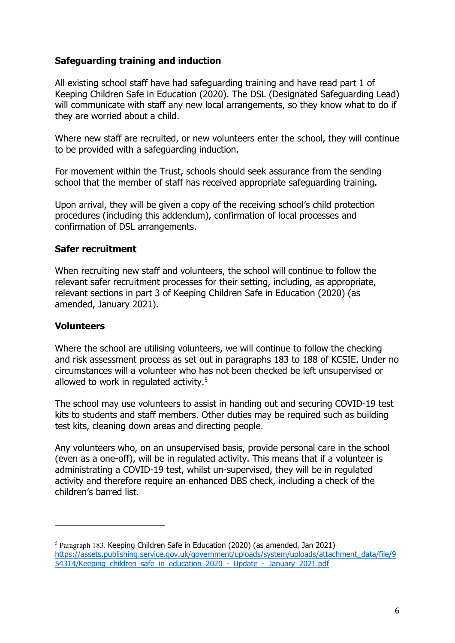## **Safeguarding training and induction**

All existing school staff have had safeguarding training and have read part 1 of Keeping Children Safe in Education (2020). The DSL (Designated Safeguarding Lead) will communicate with staff any new local arrangements, so they know what to do if they are worried about a child.

Where new staff are recruited, or new volunteers enter the school, they will continue to be provided with a safeguarding induction.

For movement within the Trust, schools should seek assurance from the sending school that the member of staff has received appropriate safeguarding training.

Upon arrival, they will be given a copy of the receiving school's child protection procedures (including this addendum), confirmation of local processes and confirmation of DSL arrangements.

#### **Safer recruitment**

When recruiting new staff and volunteers, the school will continue to follow the relevant safer recruitment processes for their setting, including, as appropriate, relevant sections in part 3 of Keeping Children Safe in Education (2020) (as amended, January 2021).

#### **Volunteers**

Where the school are utilising volunteers, we will continue to follow the checking and risk assessment process as set out in paragraphs 183 to 188 of KCSIE. Under no circumstances will a volunteer who has not been checked be left unsupervised or allowed to work in regulated activity.<sup>5</sup>

The school may use volunteers to assist in handing out and securing COVID-19 test kits to students and staff members. Other duties may be required such as building test kits, cleaning down areas and directing people.

Any volunteers who, on an unsupervised basis, provide personal care in the school (even as a one-off), will be in regulated activity. This means that if a volunteer is administrating a COVID-19 test, whilst un-supervised, they will be in regulated activity and therefore require an enhanced DBS check, including a check of the children's barred list.

 $5$  Paragraph 183. Keeping Children Safe in Education (2020) (as amended, Jan 2021) https://assets.publishing.service.gov.uk/government/uploads/system/uploads/attachment\_data/file/9 54314/Keeping children safe in education 2020 - Update - January 2021.pdf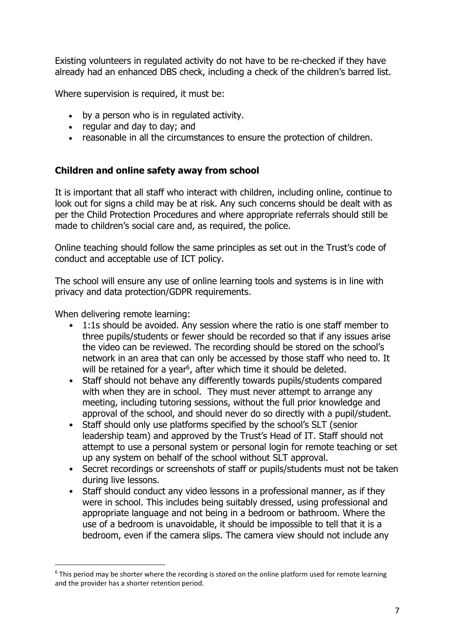Existing volunteers in regulated activity do not have to be re-checked if they have already had an enhanced DBS check, including a check of the children's barred list.

Where supervision is required, it must be:

- by a person who is in regulated activity.
- regular and day to day; and
- reasonable in all the circumstances to ensure the protection of children.

## **Children and online safety away from school**

It is important that all staff who interact with children, including online, continue to look out for signs a child may be at risk. Any such concerns should be dealt with as per the Child Protection Procedures and where appropriate referrals should still be made to children's social care and, as required, the police.

Online teaching should follow the same principles as set out in the Trust's code of conduct and acceptable use of ICT policy.

The school will ensure any use of online learning tools and systems is in line with privacy and data protection/GDPR requirements.

When delivering remote learning:

- 1:1s should be avoided. Any session where the ratio is one staff member to three pupils/students or fewer should be recorded so that if any issues arise the video can be reviewed. The recording should be stored on the school's network in an area that can only be accessed by those staff who need to. It will be retained for a year<sup>6</sup>, after which time it should be deleted.
- Staff should not behave any differently towards pupils/students compared with when they are in school. They must never attempt to arrange any meeting, including tutoring sessions, without the full prior knowledge and approval of the school, and should never do so directly with a pupil/student.
- Staff should only use platforms specified by the school's SLT (senior leadership team) and approved by the Trust's Head of IT. Staff should not attempt to use a personal system or personal login for remote teaching or set up any system on behalf of the school without SLT approval.
- Secret recordings or screenshots of staff or pupils/students must not be taken during live lessons.
- Staff should conduct any video lessons in a professional manner, as if they were in school. This includes being suitably dressed, using professional and appropriate language and not being in a bedroom or bathroom. Where the use of a bedroom is unavoidable, it should be impossible to tell that it is a bedroom, even if the camera slips. The camera view should not include any

<sup>&</sup>lt;sup>6</sup> This period may be shorter where the recording is stored on the online platform used for remote learning and the provider has a shorter retention period.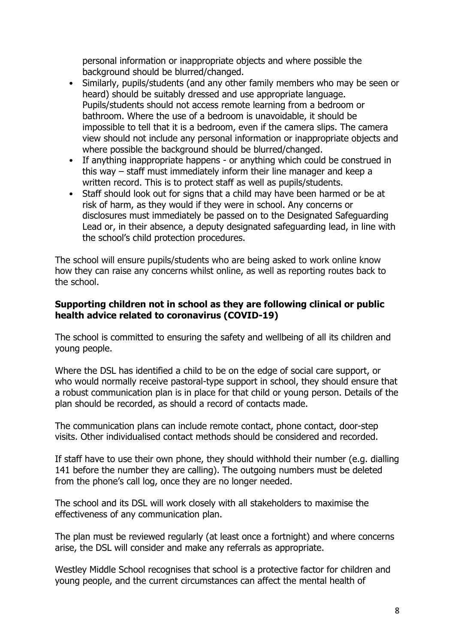personal information or inappropriate objects and where possible the background should be blurred/changed.

- Similarly, pupils/students (and any other family members who may be seen or heard) should be suitably dressed and use appropriate language. Pupils/students should not access remote learning from a bedroom or bathroom. Where the use of a bedroom is unavoidable, it should be impossible to tell that it is a bedroom, even if the camera slips. The camera view should not include any personal information or inappropriate objects and where possible the background should be blurred/changed.
- If anything inappropriate happens or anything which could be construed in this way – staff must immediately inform their line manager and keep a written record. This is to protect staff as well as pupils/students.
- Staff should look out for signs that a child may have been harmed or be at risk of harm, as they would if they were in school. Any concerns or disclosures must immediately be passed on to the Designated Safeguarding Lead or, in their absence, a deputy designated safeguarding lead, in line with the school's child protection procedures.

The school will ensure pupils/students who are being asked to work online know how they can raise any concerns whilst online, as well as reporting routes back to the school.

#### **Supporting children not in school as they are following clinical or public health advice related to coronavirus (COVID-19)**

The school is committed to ensuring the safety and wellbeing of all its children and young people.

Where the DSL has identified a child to be on the edge of social care support, or who would normally receive pastoral-type support in school, they should ensure that a robust communication plan is in place for that child or young person. Details of the plan should be recorded, as should a record of contacts made.

The communication plans can include remote contact, phone contact, door-step visits. Other individualised contact methods should be considered and recorded.

If staff have to use their own phone, they should withhold their number (e.g. dialling 141 before the number they are calling). The outgoing numbers must be deleted from the phone's call log, once they are no longer needed.

The school and its DSL will work closely with all stakeholders to maximise the effectiveness of any communication plan.

The plan must be reviewed regularly (at least once a fortnight) and where concerns arise, the DSL will consider and make any referrals as appropriate.

Westley Middle School recognises that school is a protective factor for children and young people, and the current circumstances can affect the mental health of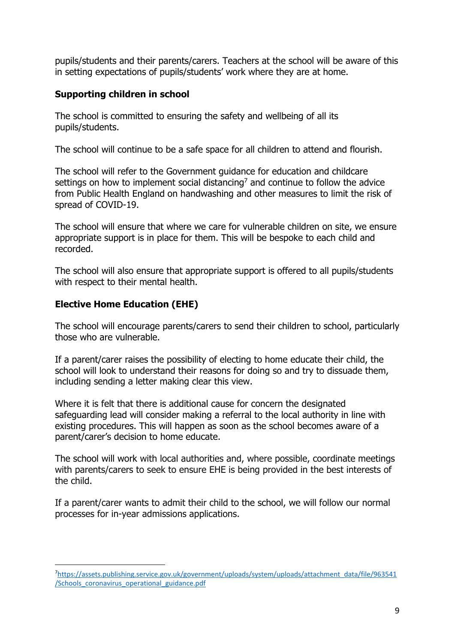pupils/students and their parents/carers. Teachers at the school will be aware of this in setting expectations of pupils/students' work where they are at home.

## **Supporting children in school**

The school is committed to ensuring the safety and wellbeing of all its pupils/students.

The school will continue to be a safe space for all children to attend and flourish.

The school will refer to the Government guidance for education and childcare settings on how to implement social distancing<sup>7</sup> and continue to follow the advice from Public Health England on handwashing and other measures to limit the risk of spread of COVID-19.

The school will ensure that where we care for vulnerable children on site, we ensure appropriate support is in place for them. This will be bespoke to each child and recorded.

The school will also ensure that appropriate support is offered to all pupils/students with respect to their mental health.

## **Elective Home Education (EHE)**

The school will encourage parents/carers to send their children to school, particularly those who are vulnerable.

If a parent/carer raises the possibility of electing to home educate their child, the school will look to understand their reasons for doing so and try to dissuade them, including sending a letter making clear this view.

Where it is felt that there is additional cause for concern the designated safeguarding lead will consider making a referral to the local authority in line with existing procedures. This will happen as soon as the school becomes aware of a parent/carer's decision to home educate.

The school will work with local authorities and, where possible, coordinate meetings with parents/carers to seek to ensure EHE is being provided in the best interests of the child.

If a parent/carer wants to admit their child to the school, we will follow our normal processes for in-year admissions applications.

<sup>7</sup>https://assets.publishing.service.gov.uk/government/uploads/system/uploads/attachment\_data/file/963541 /Schools\_coronavirus\_operational\_guidance.pdf